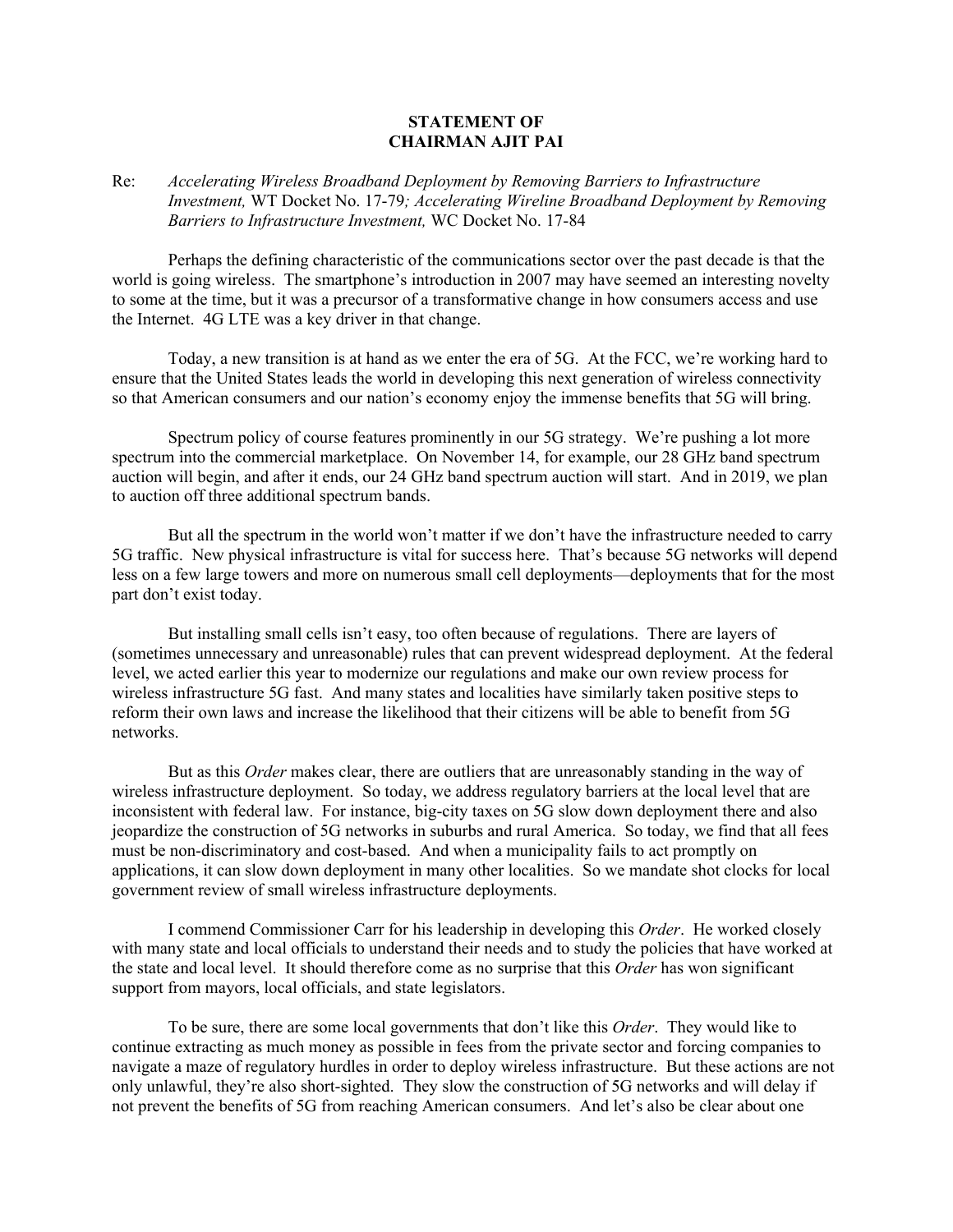## **STATEMENT OF CHAIRMAN AJIT PAI**

## Re: *Accelerating Wireless Broadband Deployment by Removing Barriers to Infrastructure Investment,* WT Docket No. 17-79*; Accelerating Wireline Broadband Deployment by Removing Barriers to Infrastructure Investment,* WC Docket No. 17-84

Perhaps the defining characteristic of the communications sector over the past decade is that the world is going wireless. The smartphone's introduction in 2007 may have seemed an interesting novelty to some at the time, but it was a precursor of a transformative change in how consumers access and use the Internet. 4G LTE was a key driver in that change.

Today, a new transition is at hand as we enter the era of 5G. At the FCC, we're working hard to ensure that the United States leads the world in developing this next generation of wireless connectivity so that American consumers and our nation's economy enjoy the immense benefits that 5G will bring.

Spectrum policy of course features prominently in our 5G strategy. We're pushing a lot more spectrum into the commercial marketplace. On November 14, for example, our 28 GHz band spectrum auction will begin, and after it ends, our 24 GHz band spectrum auction will start. And in 2019, we plan to auction off three additional spectrum bands.

But all the spectrum in the world won't matter if we don't have the infrastructure needed to carry 5G traffic. New physical infrastructure is vital for success here. That's because 5G networks will depend less on a few large towers and more on numerous small cell deployments—deployments that for the most part don't exist today.

But installing small cells isn't easy, too often because of regulations. There are layers of (sometimes unnecessary and unreasonable) rules that can prevent widespread deployment. At the federal level, we acted earlier this year to modernize our regulations and make our own review process for wireless infrastructure 5G fast. And many states and localities have similarly taken positive steps to reform their own laws and increase the likelihood that their citizens will be able to benefit from 5G networks.

But as this *Order* makes clear, there are outliers that are unreasonably standing in the way of wireless infrastructure deployment. So today, we address regulatory barriers at the local level that are inconsistent with federal law. For instance, big-city taxes on 5G slow down deployment there and also jeopardize the construction of 5G networks in suburbs and rural America. So today, we find that all fees must be non-discriminatory and cost-based. And when a municipality fails to act promptly on applications, it can slow down deployment in many other localities. So we mandate shot clocks for local government review of small wireless infrastructure deployments.

I commend Commissioner Carr for his leadership in developing this *Order*. He worked closely with many state and local officials to understand their needs and to study the policies that have worked at the state and local level. It should therefore come as no surprise that this *Order* has won significant support from mayors, local officials, and state legislators.

To be sure, there are some local governments that don't like this *Order*. They would like to continue extracting as much money as possible in fees from the private sector and forcing companies to navigate a maze of regulatory hurdles in order to deploy wireless infrastructure. But these actions are not only unlawful, they're also short-sighted. They slow the construction of 5G networks and will delay if not prevent the benefits of 5G from reaching American consumers. And let's also be clear about one